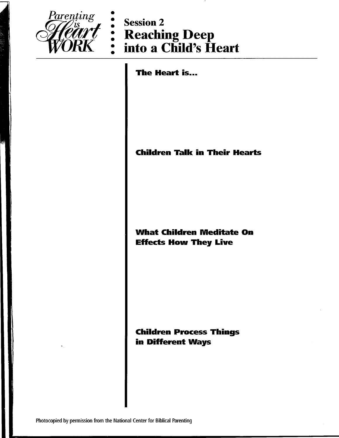

Parenting<br> **Theart** : Session 2<br> **WORK** : Into a Child's Heart

The Heart is...

### **Children Talk in Their Hearts**

### **What Children Meditate On Effects How They Live**

**Children Process Things** in Different Ways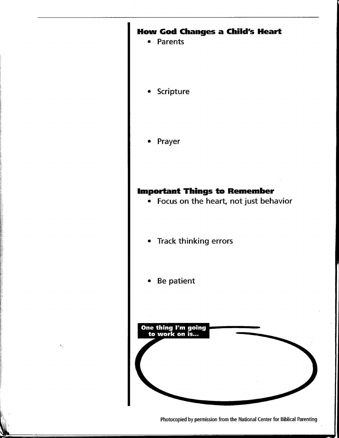## **How God Changes a Child's Heart**

- Parents
- Scripture
- Prayer

# **Important Things to Remember**

- Focus on the heart, not just behavior
- Track thinking errors  $\bullet$
- Be patient



Photocopied by permission from the National Center for Biblical Parenting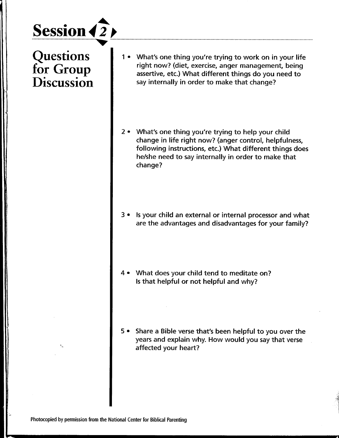# **Session** *4 2*

**Questions** for Group **Discussion** 

- 1 What's one thing you're trying to work on in your life right now? (diet, exercise, anger management, being assertive, etc.) What different things do you need to say internally in order to make that change?
- 2 What's one thing you're trying to help your child change in life right now? (anger control, helpfulness, following instructions, etc.) What different things does he/she need to say internally in order to make that change?
- 3 Is your child an external or internal processor and what are the advantages and disadvantages for your family?
- What does your child tend to meditate on? Is that helpful or not helpful and why?
- 5 Share a Bible verse that's been helpful to you over the years and explain why. How would you say that verse affected your heart?